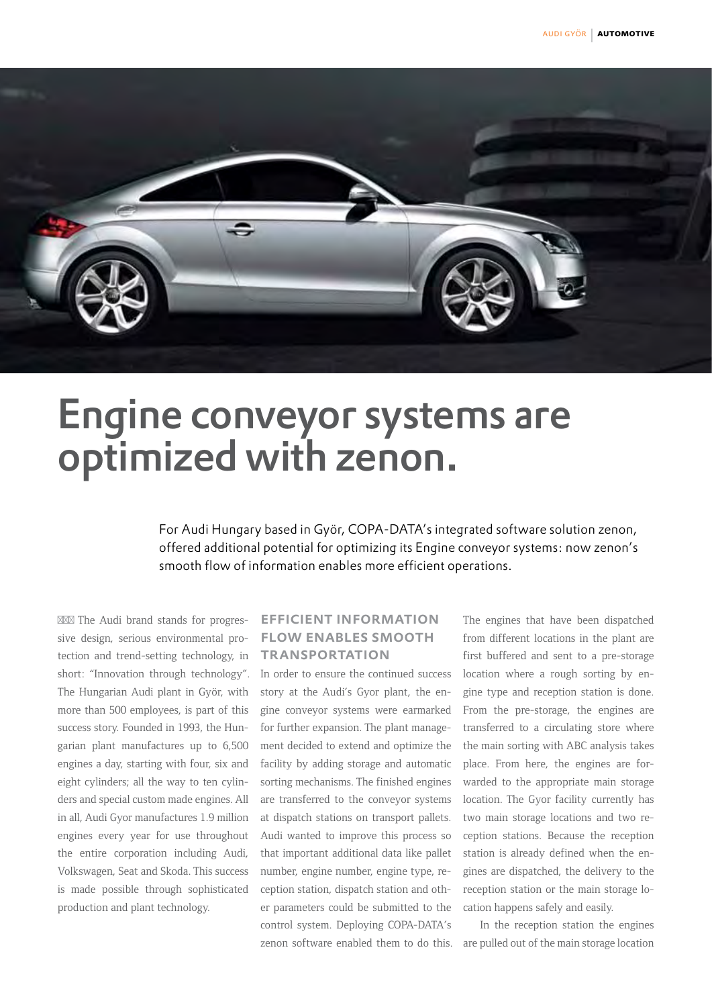

# Engine conveyor systems are optimized with zenon.

For Audi Hungary based in Györ, COPA-DATA's integrated software solution zenon, offered additional potential for optimizing its Engine conveyor systems: now zenon's smooth flow of information enables more efficient operations.

The Audi brand stands for progressive design, serious environmental protection and trend-setting technology, in short: "Innovation through technology". The Hungarian Audi plant in Györ, with more than 500 employees, is part of this success story. Founded in 1993, the Hungarian plant manufactures up to 6,500 engines a day, starting with four, six and eight cylinders; all the way to ten cylinders and special custom made engines. All in all, Audi Gyor manufactures 1.9 million engines every year for use throughout the entire corporation including Audi, Volkswagen, Seat and Skoda. This success is made possible through sophisticated production and plant technology.

## efficient information flow enables smooth **TRANSPORTATION**

In order to ensure the continued success story at the Audi's Gyor plant, the engine conveyor systems were earmarked for further expansion. The plant management decided to extend and optimize the facility by adding storage and automatic sorting mechanisms. The finished engines are transferred to the conveyor systems at dispatch stations on transport pallets. Audi wanted to improve this process so that important additional data like pallet number, engine number, engine type, reception station, dispatch station and other parameters could be submitted to the control system. Deploying COPA-DATA's zenon software enabled them to do this. The engines that have been dispatched from different locations in the plant are first buffered and sent to a pre-storage location where a rough sorting by engine type and reception station is done. From the pre-storage, the engines are transferred to a circulating store where the main sorting with ABC analysis takes place. From here, the engines are forwarded to the appropriate main storage location. The Gyor facility currently has two main storage locations and two reception stations. Because the reception station is already defined when the engines are dispatched, the delivery to the reception station or the main storage location happens safely and easily.

In the reception station the engines are pulled out of the main storage location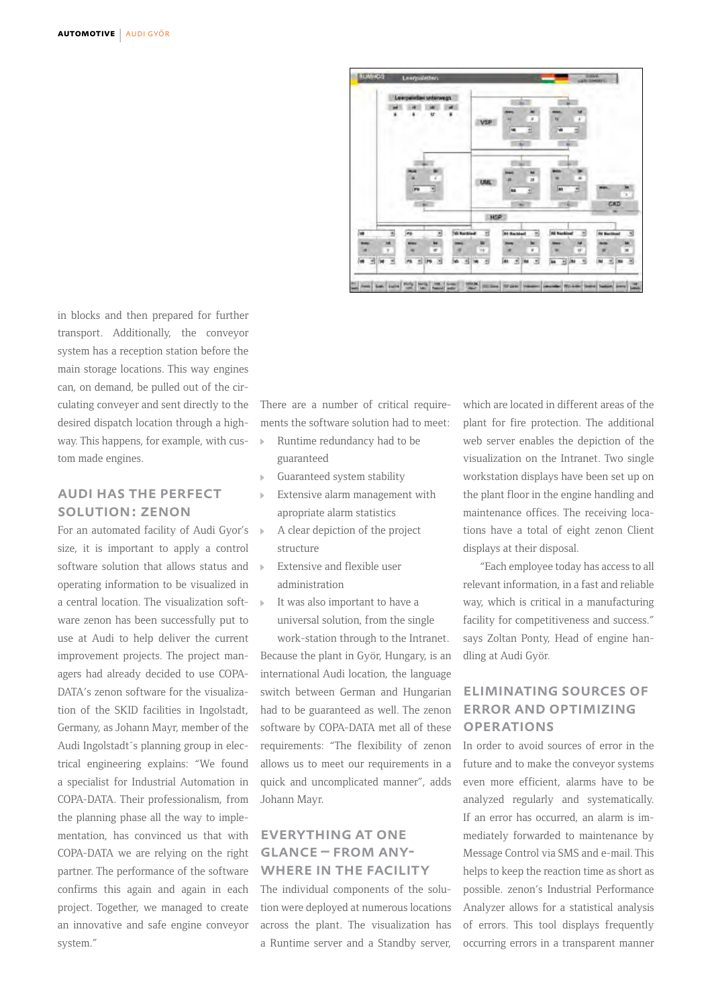

in blocks and then prepared for further transport. Additionally, the conveyor system has a reception station before the main storage locations. This way engines can, on demand, be pulled out of the circulating conveyer and sent directly to the desired dispatch location through a highway. This happens, for example, with custom made engines.

### audi has the perfect solution: zenon

For an automated facility of Audi Gyor's size, it is important to apply a control software solution that allows status and  $\rightarrow$ operating information to be visualized in a central location. The visualization software zenon has been successfully put to use at Audi to help deliver the current improvement projects. The project managers had already decided to use COPA-DATA's zenon software for the visualization of the SKID facilities in Ingolstadt, Germany, as Johann Mayr, member of the Audi Ingolstadt´s planning group in electrical engineering explains: "We found a specialist for Industrial Automation in COPA-DATA. Their professionalism, from the planning phase all the way to implementation, has convinced us that with COPA-DATA we are relying on the right partner. The performance of the software confirms this again and again in each project. Together, we managed to create an innovative and safe engine conveyor system."

There are a number of critical requirements the software solution had to meet:

- Runtime redundancy had to be guaranteed
- Guaranteed system stability
- Extensive alarm management with apropriate alarm statistics
- A clear depiction of the project structure
- Extensive and flexible user administration
- It was also important to have a universal solution, from the single

work-station through to the Intranet. Because the plant in Györ, Hungary, is an international Audi location, the language switch between German and Hungarian had to be guaranteed as well. The zenon software by COPA-DATA met all of these requirements: "The flexibility of zenon allows us to meet our requirements in a quick and uncomplicated manner", adds Johann Mayr.

### everything at one glance – from any-WHERE IN THE FACILITY

The individual components of the solution were deployed at numerous locations across the plant. The visualization has a Runtime server and a Standby server,

which are located in different areas of the plant for fire protection. The additional web server enables the depiction of the visualization on the Intranet. Two single workstation displays have been set up on the plant floor in the engine handling and maintenance offices. The receiving locations have a total of eight zenon Client displays at their disposal.

"Each employee today has access to all relevant information, in a fast and reliable way, which is critical in a manufacturing facility for competitiveness and success." says Zoltan Ponty, Head of engine handling at Audi Györ.

### eliminating sources of error and optimizing **OPERATIONS**

In order to avoid sources of error in the future and to make the conveyor systems even more efficient, alarms have to be analyzed regularly and systematically. If an error has occurred, an alarm is immediately forwarded to maintenance by Message Control via SMS and e-mail. This helps to keep the reaction time as short as possible. zenon's Industrial Performance Analyzer allows for a statistical analysis of errors. This tool displays frequently occurring errors in a transparent manner